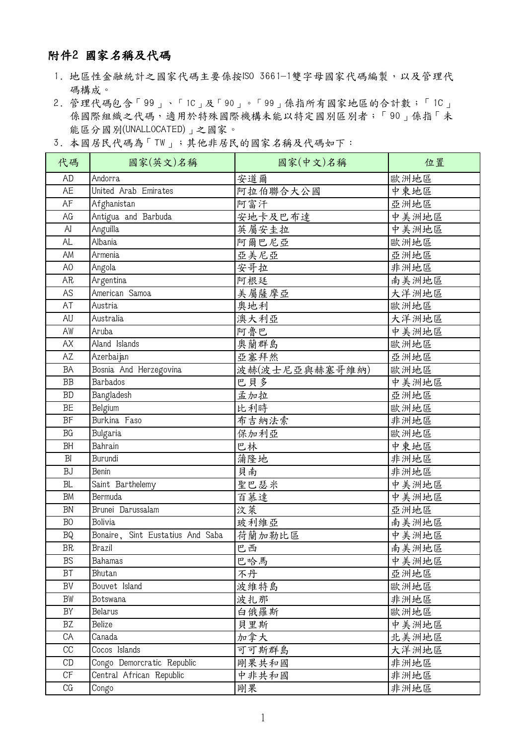## 附件2 國家名稱及代碼

- 1. 地區性金融統計之國家代碼主要係按ISO 3661-1雙字母國家代碼編製,以及管理代 碼構成。
- 2. 管理代碼包含「99」、「1C」及「90」。「99」係指所有國家地區的合計數;「1C」 係國際組織之代碼,適用於特殊國際機構未能以特定國別區別者;「90」係指「未 能區分國別(UNALLOCATED)」之國家。
- 3. 本國居民代碼為「TW」;其他非居民的國家名稱及代碼如下:

| 代碼                | 國家(英文)名稱                         | 國家(中文)名稱       | 位置    |
|-------------------|----------------------------------|----------------|-------|
| <b>AD</b>         | Andorra                          | 安道爾            | 歐洲地區  |
| AE                | United Arab Emirates             | 阿拉伯聯合大公國       | 中東地區  |
| AF                | Afghanistan                      | 阿富汗            | 亞洲地區  |
| AG                | Antigua and Barbuda              | 安地卡及巴布達        | 中美洲地區 |
| AI                | Anguilla                         | 英屬安圭拉          | 中美洲地區 |
| <b>AL</b>         | Albania                          | 阿爾巴尼亞          | 歐洲地區  |
| AM                | Armenia                          | 亞美尼亞           | 亞洲地區  |
| A <sub>O</sub>    | Angola                           | 安哥拉            | 非洲地區  |
| AR                | Argentina                        | 阿根廷            | 南美洲地區 |
| AS                | American Samoa                   | 美屬薩摩亞          | 大洋洲地區 |
| AT                | Austria                          | 奥地利            | 歐洲地區  |
| <b>AU</b>         | Australia                        | 澳大利亞           | 大洋洲地區 |
| AW                | Aruba                            | 阿魯巴            | 中美洲地區 |
| AX                | Aland Islands                    | 奧蘭群島           | 歐洲地區  |
| AZ                | Azerbaijan                       | 亞塞拜然           | 亞洲地區  |
| BA                | Bosnia And Herzegovina           | 波赫(波士尼亞與赫塞哥維納) | 歐洲地區  |
| BB                | <b>Barbados</b>                  | 巴貝多            | 中美洲地區 |
| <b>BD</b>         | Bangladesh                       | 孟加拉            | 亞洲地區  |
| BE                | Belgium                          | 比利時            | 歐洲地區  |
| BF                | Burkina Faso                     | 布吉納法索          | 非洲地區  |
| BG                | <b>Bulgaria</b>                  | 保加利亞           | 歐洲地區  |
| <b>BH</b>         | Bahrain                          | 巴林             | 中東地區  |
| B <sub>l</sub>    | Burundi                          | 蒲隆地            | 非洲地區  |
| <b>BJ</b>         | Benin                            | 貝南             | 非洲地區  |
| <b>BL</b>         | Saint Barthelemy                 | 聖巴瑟米           | 中美洲地區 |
| <b>BM</b>         | Bermuda                          | 百慕達            | 中美洲地區 |
| <b>BN</b>         | Brunei Darussalam                | 汶萊             | 亞洲地區  |
| B <sub>0</sub>    | Bolivia                          | 玻利維亞           | 南美洲地區 |
| $\rm BQ$          | Bonaire, Sint Eustatius And Saba | 荷蘭加勒比區         | 中美洲地區 |
| ${\tt BR}$        | Brazil                           | 巴西             | 南美洲地區 |
| <b>BS</b>         | Bahamas                          | 巴哈馬            | 中美洲地區 |
| BT                | Bhutan                           | 不丹             | 亞洲地區  |
| BV                | Bouvet Island                    | 波維特島           | 歐洲地區  |
| BW                | Botswana                         | 波扎那            | 非洲地區  |
| BY                | <b>Belarus</b>                   | 白俄羅斯           | 歐洲地區  |
| BZ                | Belize                           | 貝里斯            | 中美洲地區 |
| CA                | Canada                           | 加拿大            | 北美洲地區 |
| CC                | Cocos Islands                    | 可可斯群島          | 大洋洲地區 |
| $\mathop{\rm CD}$ | Congo Demorcratic Republic       | 剛果共和國          | 非洲地區  |
| CF                | Central African Republic         | 中非共和國          | 非洲地區  |
| CG                | Congo                            | 剛果             | 非洲地區  |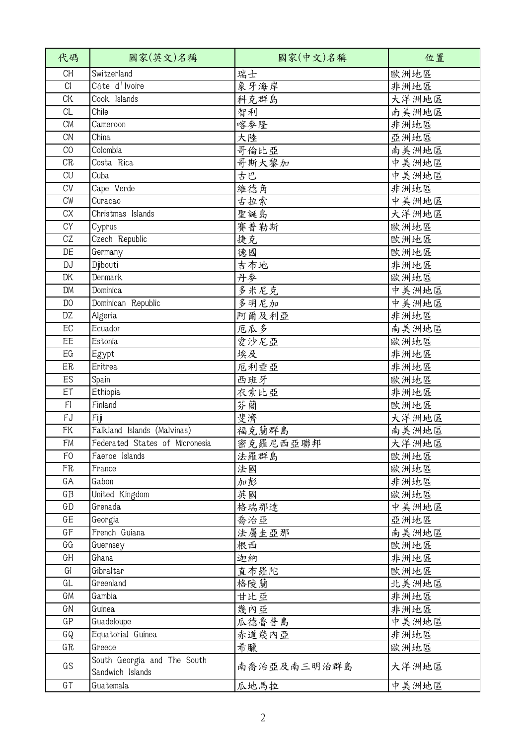| 代碼             | 國家(英文)名稱                                        | 國家(中文)名稱    | 位置    |
|----------------|-------------------------------------------------|-------------|-------|
| <b>CH</b>      | Switzerland                                     | 瑞士          | 歐洲地區  |
| CI             | Côte d'Ivoire                                   | 象牙海岸        | 非洲地區  |
| <b>CK</b>      | Cook Islands                                    | 科克群島        | 大洋洲地區 |
| CL             | Chile                                           | 智利          | 南美洲地區 |
| <b>CM</b>      | Cameroon                                        | 喀麥隆         | 非洲地區  |
| <b>CN</b>      | China                                           | 大陸          | 亞洲地區  |
| CO             | Colombia                                        | 哥倫比亞        | 南美洲地區 |
| CR             | Costa Rica                                      | 哥斯大黎加       | 中美洲地區 |
| CU             | Cuba                                            | 舌巴          | 中美洲地區 |
| <b>CV</b>      | Cape Verde                                      | 維德角         | 非洲地區  |
| CW             | Curacao                                         | 古拉索         | 中美洲地區 |
| CX             | Christmas Islands                               | 聖誕島         | 大洋洲地區 |
| CY             | Cyprus                                          | 賽普勒斯        | 歐洲地區  |
| CZ             | Czech Republic                                  | 捷克          | 歐洲地區  |
| DE             | Germany                                         | 德國          | 歐洲地區  |
| <b>DJ</b>      | Djibouti                                        | 吉布地         | 非洲地區  |
| <b>DK</b>      | Denmark                                         | 丹麥          | 歐洲地區  |
| <b>DM</b>      | Dominica                                        | 多米尼克        | 中美洲地區 |
| D <sub>0</sub> | Dominican Republic                              | 多明尼加        | 中美洲地區 |
| DZ             | Algeria                                         | 阿爾及利亞       | 非洲地區  |
| EC             | Ecuador                                         | 厄瓜多         | 南美洲地區 |
| EE             | Estonia                                         | 愛沙尼亞        | 歐洲地區  |
| EG             | Egypt                                           | 埃及          | 非洲地區  |
| ER             | Eritrea                                         | 厄利垂亞        | 非洲地區  |
| ES             | Spain                                           | 西班牙         | 歐洲地區  |
| ET             | Ethiopia                                        | 衣索比亞        | 非洲地區  |
| F <sub>l</sub> | Finland                                         | 芬蘭          | 歐洲地區  |
| FJ             | Fij                                             | 斐濟          | 大洋洲地區 |
| <b>FK</b>      | Falkland Islands (Malvinas)                     | 福克蘭群島       | 南美洲地區 |
| FM             | Federated States of Micronesia                  | 密克羅尼西亞聯邦    | 大洋洲地區 |
| F <sub>0</sub> | Faeroe Islands                                  | 法羅群島        | 歐洲地區  |
| FR             | France                                          | 法國          | 歐洲地區  |
| GA             | Gabon                                           | 加彭          | 非洲地區  |
| $G$ $B$        | United Kingdom                                  | 英國          | 歐洲地區  |
| GD             | Grenada                                         | 格瑞那達        | 中美洲地區 |
| GE             | Georgia                                         | 喬治亞         | 亞洲地區  |
| GF             | French Guiana                                   | 法屬圭亞那       | 南美洲地區 |
| GG             | Guernsey                                        | 根西          | 歐洲地區  |
| GH             | Ghana                                           | 迦納          | 非洲地區  |
| GI             | Gibraltar                                       | 直布羅陀        | 歐洲地區  |
| GL             | Greenland                                       | 格陵蘭         | 北美洲地區 |
| GM             | Gambia                                          | 甘比亞         | 非洲地區  |
| GN             | Guinea                                          | 幾內亞         | 非洲地區  |
| GP             | Guadeloupe                                      | 瓜德魯普島       | 中美洲地區 |
| GQ             | Equatorial Guinea                               | 赤道幾內亞       | 非洲地區  |
| GR             | Greece                                          | 希臘          | 歐洲地區  |
| GS             | South Georgia and The South<br>Sandwich Islands | 南喬治亞及南三明治群島 | 大洋洲地區 |
| $G$ T          | Guatemala                                       | 瓜地馬拉        | 中美洲地區 |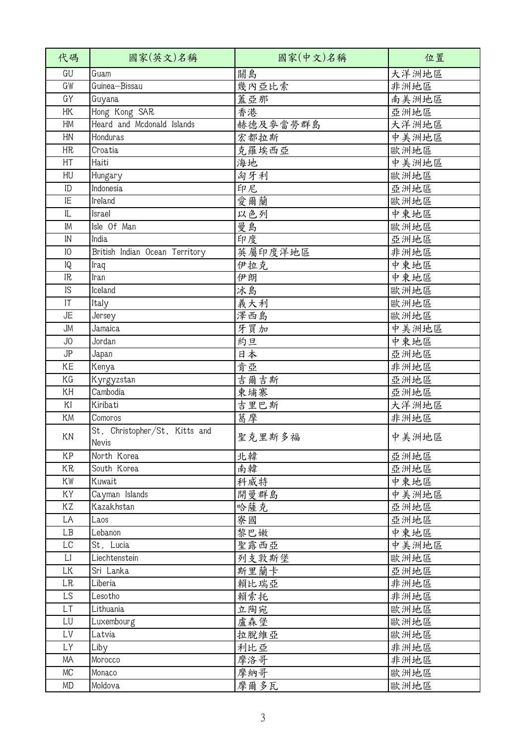| 代碼                     | 國家(英文)名稱                               | 國家(中文)名稱 | 位置    |
|------------------------|----------------------------------------|----------|-------|
| GU                     | Guam                                   | 關島       | 大洋洲地區 |
| GW                     | Guinea-Bissau                          | 幾內亞比索    | 非洲地區  |
| GY                     | Guyana                                 | 蓋亞那      | 南美洲地區 |
| HK                     | Hong Kong SAR                          | 香港       | 亞洲地區  |
| HM                     | Heard and Mcdonald Islands             | 赫德及麥當勞群島 | 大洋洲地區 |
| HN                     | Honduras                               | 宏都拉斯     | 中美洲地區 |
| HR                     | Croatia                                | 克羅埃西亞    | 歐洲地區  |
| HT                     | Haiti                                  | 海地       | 中美洲地區 |
| HU                     | Hungary                                | 匈牙利      | 歐洲地區  |
| ID                     | Indonesia                              | 印尼       | 亞洲地區  |
| IE                     | Ireland                                | 愛爾蘭      | 歐洲地區  |
| IL                     | Israel                                 | 以色列      | 中東地區  |
| IM                     | Isle Of Man                            | 曼島       | 歐洲地區  |
| $\mathsf{IN}$          | India                                  | 印度       | 亞洲地區  |
| 10                     | British Indian Ocean Territory         | 英屬印度洋地區  | 非洲地區  |
| 1Q                     | Iraq                                   | 伊拉克      | 中東地區  |
| IR                     | Iran                                   | 伊朗       | 中東地區  |
| IS                     | Iceland                                | 冰島       | 歐洲地區  |
| $\mathsf{I}\mathsf{T}$ | Italy                                  | 義大利      | 歐洲地區  |
| JE                     | Jersey                                 | 澤西島      | 歐洲地區  |
| <b>JM</b>              | Jamaica                                | 牙買加      | 中美洲地區 |
| JO                     | Jordan                                 | 約旦       | 中東地區  |
| JP                     | Japan                                  | 日本       | 亞洲地區  |
| KE                     | Kenya                                  | 肯亞       | 非洲地區  |
| ΚG                     | Kyrgyzstan                             | 吉爾吉斯     | 亞洲地區  |
| KH                     | Cambodia                               | 東埔寨      | 亞洲地區  |
| KI                     | Kiribati                               | 吉里巴斯     | 大洋洲地區 |
| <b>KM</b>              | Comoros                                | 葛摩       | 非洲地區  |
| KN                     | St. Christopher/St. Kitts and<br>Nevis | 聖克里斯多福   | 中美洲地區 |
| KP                     | North Korea                            | 北韓       | 亞洲地區  |
| KR                     | South Korea                            | 南韓       | 亞洲地區  |
| KW                     | Kuwait                                 | 科威特      | 中東地區  |
| ΚY                     | Cayman Islands                         | 開曼群島     | 中美洲地區 |
| ΚZ                     | Kazakhstan                             | 哈薩克      | 亞洲地區  |
| LA                     | Laos                                   | 寮國       | 亞洲地區  |
| LB                     | Lebanon                                | 黎巴嫩      | 中東地區  |
| LC                     | St. Lucia                              | 聖露西亞     | 中美洲地區 |
| $\lfloor$              | Liechtenstein                          | 列支敦斯堡    | 歐洲地區  |
| LK                     | Sri Lanka                              | 斯里蘭卡     | 亞洲地區  |
| <b>LR</b>              | Liberia                                | 賴比瑞亞     | 非洲地區  |
| LS                     | Lesotho                                | 賴索托      | 非洲地區  |
| LT                     | Lithuania                              | 立陶宛      | 歐洲地區  |
| LU                     | Luxembourg                             | 盧森堡      | 歐洲地區  |
| LV                     | Latvia                                 | 拉脫維亞     | 歐洲地區  |
| LY                     | Liby                                   | 利比亞      | 非洲地區  |
| ΜA                     | Morocco                                | 摩洛哥      | 非洲地區  |
| MC                     | Monaco                                 | 摩納哥      | 歐洲地區  |
| MD                     | Moldova                                | 摩爾多瓦     | 歐洲地區  |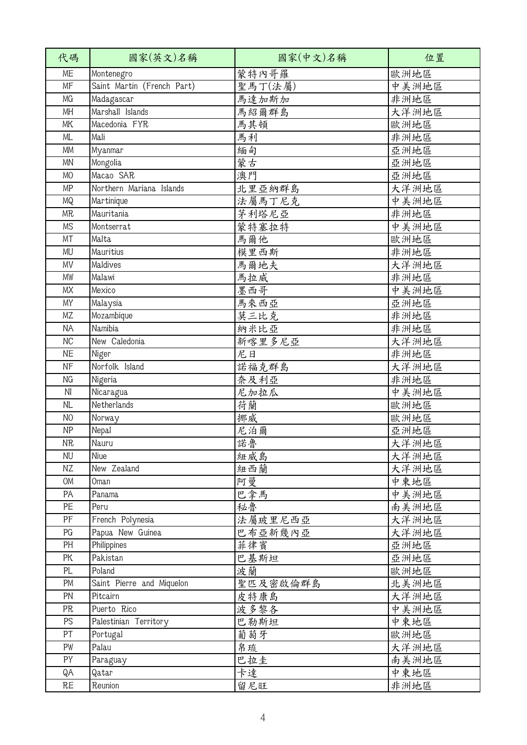| 代碼             | 國家(英文)名稱                   | 國家(中文)名稱 | 位置    |
|----------------|----------------------------|----------|-------|
| ME             | Montenegro                 | 蒙特內哥羅    | 歐洲地區  |
| MF             | Saint Martin (French Part) | 聖馬丁(法屬)  | 中美洲地區 |
| MG             | Madagascar                 | 馬達加斯加    | 非洲地區  |
| MH             | Marshall Islands           | 馬紹爾群島    | 大洋洲地區 |
| MK             | Macedonia FYR              | 馬其頓      | 歐洲地區  |
| ML.            | Mali                       | 馬利       | 非洲地區  |
| <b>MM</b>      | Myanmar                    | 緬甸       | 亞洲地區  |
| MN             | Mongolia                   | 蒙古       | 亞洲地區  |
| <b>MO</b>      | Macao SAR                  | 澳門       | 亞洲地區  |
| MP             | Northern Mariana Islands   | 北里亞納群島   | 大洋洲地區 |
| MQ             | Martinique                 | 法屬馬丁尼克   | 中美洲地區 |
| <b>MR</b>      | Mauritania                 | 茅利塔尼亞    | 非洲地區  |
| <b>MS</b>      | Montserrat                 | 蒙特塞拉特    | 中美洲地區 |
| MT             | Malta                      | 馬爾他      | 歐洲地區  |
| MU             | Mauritius                  | 模里西斯     | 非洲地區  |
| MV             | Maldives                   | 馬爾地夫     | 大洋洲地區 |
| MW             | Malawi                     | 馬拉威      | 非洲地區  |
| <b>MX</b>      | Mexico                     | 墨西哥      | 中美洲地區 |
| MY             | Malaysia                   | 馬來西亞     | 亞洲地區  |
| <b>MZ</b>      | Mozambique                 | 莫三比克     | 非洲地區  |
| <b>ΝΑ</b>      | Namibia                    | 納米比亞     | 非洲地區  |
| <b>NC</b>      | New Caledonia              | 新喀里多尼亞   | 大洋洲地區 |
| <b>NE</b>      | Niger                      | 尼日       | 非洲地區  |
| NF             | Norfolk Island             | 諾福克群島    | 大洋洲地區 |
| ΝG             | Nigeria                    | 奈及利亞     | 非洲地區  |
| N <sub>l</sub> | Nicaragua                  | 尼加拉瓜     | 中美洲地區 |
| <b>NL</b>      | Netherlands                | 荷蘭       | 歐洲地區  |
| N <sub>O</sub> | Norway                     | 挪威       | 歐洲地區  |
| <b>NP</b>      | Nepal                      | 尼泊爾      | 亞洲地區  |
| <b>NR</b>      | Nauru                      | 諾魯       | 大洋洲地區 |
| <b>NU</b>      | Niue                       | 紐威島      | 大洋洲地區 |
| ΝZ             | New Zealand                | 紐西蘭      | 大洋洲地區 |
| OM             | Oman                       | 阿曼       | 中東地區  |
| PA             | Panama                     | 巴拿馬      | 中美洲地區 |
| PE             | Peru                       | 秘魯       | 南美洲地區 |
| PF             | French Polynesia           | 法屬玻里尼西亞  | 大洋洲地區 |
| PG             | Papua New Guinea           | 巴布亞新幾內亞  | 大洋洲地區 |
| PH             | Philippines                | 菲律賓      | 亞洲地區  |
| PK             | Pakistan                   | 巴基斯坦     | 亞洲地區  |
| PL             | Poland                     | 波蘭       | 歐洲地區  |
| PM             | Saint Pierre and Miquelon  | 聖匹及密啟倫群島 | 北美洲地區 |
| PN             | Pitcairn                   | 皮特康島     | 大洋洲地區 |
| PR             | Puerto Rico                | 波多黎各     | 中美洲地區 |
| PS             | Palestinian Territory      | 巴勒斯坦     | 中東地區  |
| PT             | Portugal                   | 葡萄牙      | 歐洲地區  |
| PW             | Palau                      | 帛琉       | 大洋洲地區 |
| PY             | Paraguay                   | 巴拉圭      | 南美洲地區 |
| QA             | Qatar                      | 卡達       | 中東地區  |
| RE             | Reunion                    | 留尼旺      | 非洲地區  |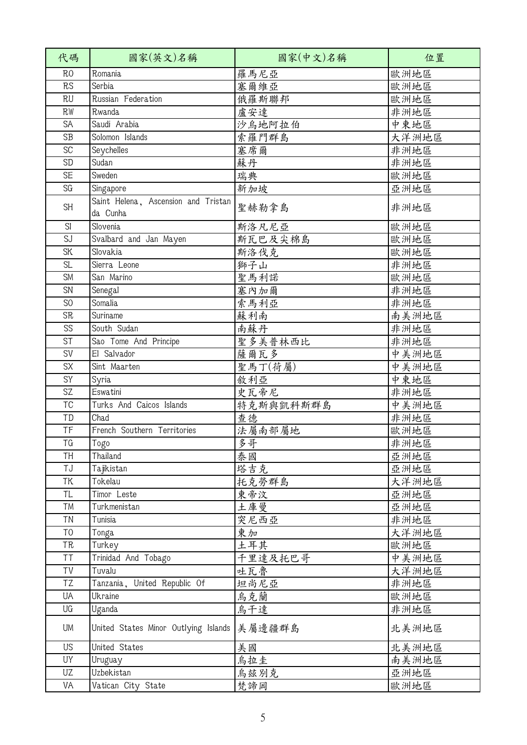| 代碼             | 國家(英文)名稱                                        | 國家(中文)名稱  | 位置    |
|----------------|-------------------------------------------------|-----------|-------|
| R <sub>0</sub> | Romania                                         | 羅馬尼亞      | 歐洲地區  |
| RS             | Serbia                                          | 塞爾維亞      | 歐洲地區  |
| <b>RU</b>      | Russian Federation                              | 俄羅斯聯邦     | 歐洲地區  |
| <b>RW</b>      | Rwanda                                          | 盧安達       | 非洲地區  |
| SA             | Saudi Arabia                                    | 沙烏地阿拉伯    | 中東地區  |
| <b>SB</b>      | Solomon Islands                                 | 索羅門群島     | 大洋洲地區 |
| SC             | Seychelles                                      | 塞席爾       | 非洲地區  |
| SD             | Sudan                                           | 蘇丹        | 非洲地區  |
| <b>SE</b>      | Sweden                                          | 瑞典        | 歐洲地區  |
| SG             | Singapore                                       | 新加坡       | 亞洲地區  |
| <b>SH</b>      | Saint Helena, Ascension and Tristan<br>da Cunha | 聖赫勒拿島     | 非洲地區  |
| SI             | Slovenia                                        | 斯洛凡尼亞     | 歐洲地區  |
| SJ             | Svalbard and Jan Mayen                          | 斯瓦巴及尖棉島   | 歐洲地區  |
| SK             | Slovakia                                        | 斯洛伐克      | 歐洲地區  |
| <b>SL</b>      | Sierra Leone                                    | 獅子山       | 非洲地區  |
| <b>SM</b>      | San Marino                                      | 聖馬利諾      | 歐洲地區  |
| SN             | Senegal                                         | 塞內加爾      | 非洲地區  |
| S <sub>0</sub> | Somalia                                         | 索馬利亞      | 非洲地區  |
| <b>SR</b>      | Suriname                                        | 蘇利南       | 南美洲地區 |
| SS             | South Sudan                                     | 南蘇丹       | 非洲地區  |
| <b>ST</b>      | Sao Tome And Principe                           | 聖多美普林西比   | 非洲地區  |
| SV             | El Salvador                                     | 薩爾瓦多      | 中美洲地區 |
| SX             | Sint Maarten                                    | 聖馬丁(荷屬)   | 中美洲地區 |
| SY             | Syria                                           | 敘利亞       | 中東地區  |
| SZ             | Eswatini                                        | 史瓦帝尼      | 非洲地區  |
| TC             | Turks And Caicos Islands                        | 特克斯與凱科斯群島 | 中美洲地區 |
| TD             | Chad                                            | 查德        | 非洲地區  |
| TF             | French Southern Territories                     | 法屬南部屬地    | 歐洲地區  |
| TG             | Togo                                            | 多哥        | 非洲地區  |
| <b>TH</b>      | Thailand                                        | 泰國        | 亞洲地區  |
| TJ             | Tajkistan                                       | 塔吉克       | 亞洲地區  |
| ΤK             | Tokelau                                         | 托克勞群島     | 大洋洲地區 |
| TL             | Timor Leste                                     | 東帝汶       | 亞洲地區  |
| TM             | Turkmenistan                                    | 土庫曼       | 亞洲地區  |
| TN             | Tunisia                                         | 突尼西亞      | 非洲地區  |
| T <sub>0</sub> | Tonga                                           | 東加        | 大洋洲地區 |
| TR             | Turkey                                          | 土耳其       | 歐洲地區  |
| TT             | Trinidad And Tobago                             | 千里達及托巴哥   | 中美洲地區 |
| TV             | Tuvalu                                          | 吐瓦魯       | 大洋洲地區 |
| TZ             | Tanzania, United Republic Of                    | 坦尚尼亞      | 非洲地區  |
| UA             | Ukraine                                         | 烏克蘭       | 歐洲地區  |
| UG             | Uganda                                          | 烏干達       | 非洲地區  |
| UM             | United States Minor Outlying Islands            | 美屬邊疆群島    | 北美洲地區 |
| US             | United States                                   | 美國        | 北美洲地區 |
| UΥ             | Uruguay                                         | 烏拉圭       | 南美洲地區 |
| UZ             | Uzbekistan                                      | 烏茲別克      | 亞洲地區  |
| VA             | Vatican City State                              | 梵諦岡       | 歐洲地區  |